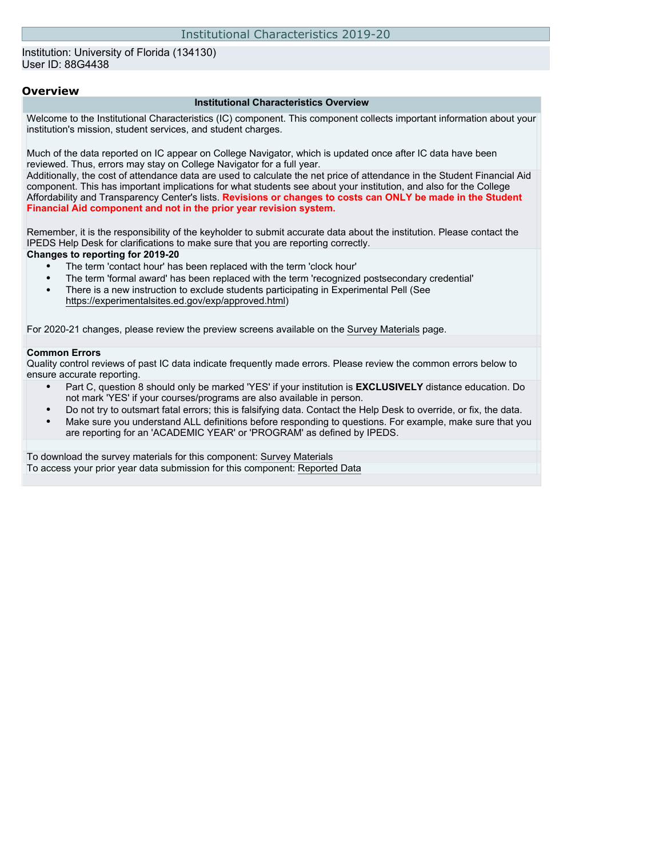#### Institution: University of Florida (134130) User ID: 88G4438

#### **Overview**

#### **Institutional Characteristics Overview**

Welcome to the Institutional Characteristics (IC) component. This component collects important information about your institution's mission, student services, and student charges.

Much of the data reported on IC appear on College Navigator, which is updated once after IC data have been reviewed. Thus, errors may stay on College Navigator for a full year.

Additionally, the cost of attendance data are used to calculate the net price of attendance in the Student Financial Aid component. This has important implications for what students see about your institution, and also for the College Affordability and Transparency Center's lists. **Revisions or changes to costs can ONLY be made in the Student Financial Aid component and not in the prior year revision system.**

Remember, it is the responsibility of the keyholder to submit accurate data about the institution. Please contact the IPEDS Help Desk for clarifications to make sure that you are reporting correctly.

#### **Changes to reporting for 2019-20**

- The term 'contact hour' has been replaced with the term 'clock hour'
- The term 'formal award' has been replaced with the term 'recognized postsecondary credential'
- There is a new instruction to exclude students participating in Experimental Pell (See [https://experimentalsites.ed.gov/exp/approved.html\)](https://experimentalsites.ed.gov/exp/approved.html)

For 2020-21 changes, please review the preview screens available on the [Survey Materials](https://surveys.nces.ed.gov/ipeds/VisIndex.aspx) page.

#### **Common Errors**

Quality control reviews of past IC data indicate frequently made errors. Please review the common errors below to ensure accurate reporting.

- Part C, question 8 should only be marked 'YES' if your institution is **EXCLUSIVELY** distance education. Do not mark 'YES' if your courses/programs are also available in person.
- Do not try to outsmart fatal errors; this is falsifying data. Contact the Help Desk to override, or fix, the data.
- Make sure you understand ALL definitions before responding to questions. For example, make sure that you are reporting for an 'ACADEMIC YEAR' or 'PROGRAM' as defined by IPEDS.

To download the survey materials for this component: [Survey Materials](https://surveys.nces.ed.gov/ipeds/VisIndex.aspx) To access your prior year data submission for this component: [Reported Data](http://192.168.102.89/ipeds/PriorYearDataRedirect.aspx?survey_id=11)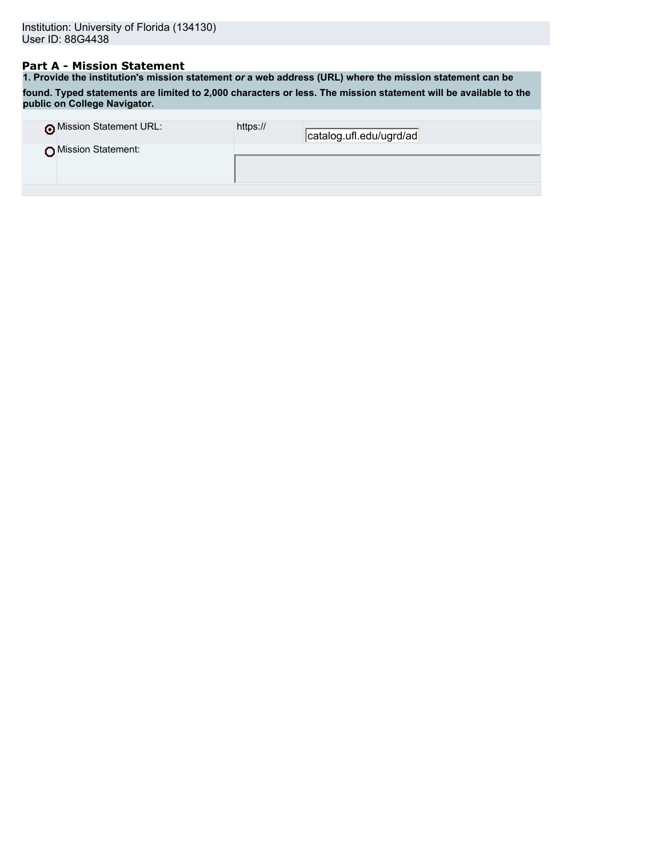## **Part A - Mission Statement**

**1. Provide the institution's mission statement** *or* **a web address (URL) where the mission statement can be found. Typed statements are limited to 2,000 characters or less. The mission statement will be available to the public on College Navigator.**

| o Mission Statement URL:<br>https:// | catalog.ufl.edu/ugrd/ad |
|--------------------------------------|-------------------------|
| Mission Statement:                   |                         |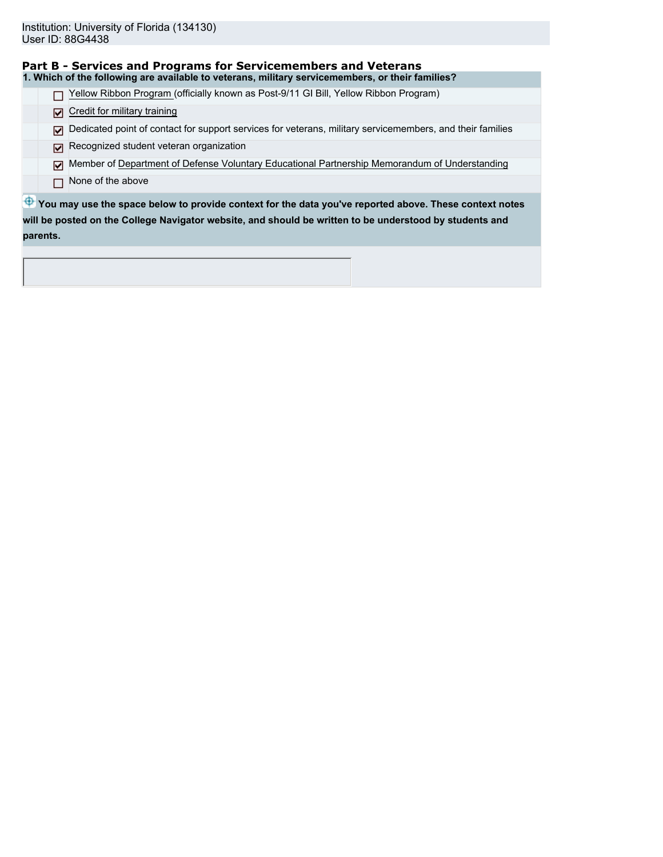|          | Part B - Services and Programs for Servicemembers and Veterans                                            |  |  |  |  |  |
|----------|-----------------------------------------------------------------------------------------------------------|--|--|--|--|--|
|          | 1. Which of the following are available to veterans, military servicemembers, or their families?          |  |  |  |  |  |
|          | Yellow Ribbon Program (officially known as Post-9/11 GI Bill, Yellow Ribbon Program)                      |  |  |  |  |  |
| ا⊽ا      | Credit for military training                                                                              |  |  |  |  |  |
| М        | Dedicated point of contact for support services for veterans, military servicemembers, and their families |  |  |  |  |  |
| М        | Recognized student veteran organization                                                                   |  |  |  |  |  |
| ا⊽ا      | Member of Department of Defense Voluntary Educational Partnership Memorandum of Understanding             |  |  |  |  |  |
|          | None of the above                                                                                         |  |  |  |  |  |
|          | You may use the space below to provide context for the data you've reported above. These context notes    |  |  |  |  |  |
|          | will be posted on the College Navigator website, and should be written to be understood by students and   |  |  |  |  |  |
| parents. |                                                                                                           |  |  |  |  |  |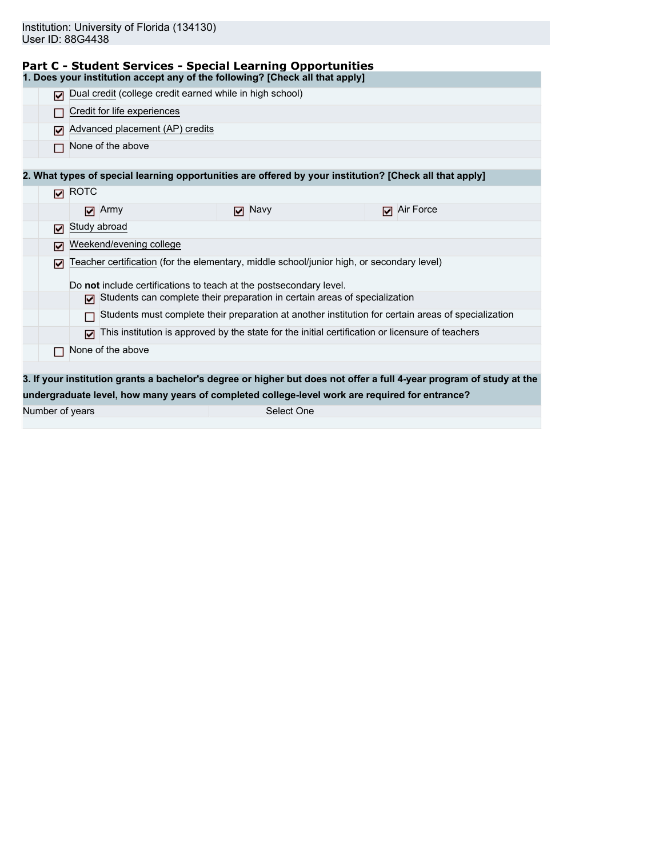|  | Part C - Student Services - Special Learning Opportunities                                                                                                                                                                        |
|--|-----------------------------------------------------------------------------------------------------------------------------------------------------------------------------------------------------------------------------------|
|  | $\mathbf{A}$ . The contract of the contract of the contract of the contract of the contract of the contract of the contract of the contract of the contract of the contract of the contract of the contract of the contract of th |

|                 | <b>Present Dervices - Opeeral Ecarning Opportun</b><br>1. Does your institution accept any of the following? [Check all that apply] |               |                                                                                                                      |
|-----------------|-------------------------------------------------------------------------------------------------------------------------------------|---------------|----------------------------------------------------------------------------------------------------------------------|
|                 | Dual credit (college credit earned while in high school)                                                                            |               |                                                                                                                      |
|                 | Credit for life experiences                                                                                                         |               |                                                                                                                      |
| М               | Advanced placement (AP) credits                                                                                                     |               |                                                                                                                      |
|                 | None of the above                                                                                                                   |               |                                                                                                                      |
|                 |                                                                                                                                     |               |                                                                                                                      |
|                 |                                                                                                                                     |               | 2. What types of special learning opportunities are offered by your institution? [Check all that apply]              |
| М               | <b>ROTC</b>                                                                                                                         |               |                                                                                                                      |
|                 | $\Box$ Army                                                                                                                         | $\nabla$ Navy | Air Force<br>М                                                                                                       |
| М               | Study abroad                                                                                                                        |               |                                                                                                                      |
| 罓               | Weekend/evening college                                                                                                             |               |                                                                                                                      |
| 罓               | Teacher certification (for the elementary, middle school/junior high, or secondary level)                                           |               |                                                                                                                      |
|                 | Do not include certifications to teach at the postsecondary level.                                                                  |               |                                                                                                                      |
|                 | $\triangleright$ Students can complete their preparation in certain areas of specialization                                         |               |                                                                                                                      |
|                 |                                                                                                                                     |               | Students must complete their preparation at another institution for certain areas of specialization                  |
|                 | ا⊽ا                                                                                                                                 |               | This institution is approved by the state for the initial certification or licensure of teachers                     |
|                 | None of the above                                                                                                                   |               |                                                                                                                      |
|                 |                                                                                                                                     |               |                                                                                                                      |
|                 |                                                                                                                                     |               | 3. If your institution grants a bachelor's degree or higher but does not offer a full 4-year program of study at the |
|                 |                                                                                                                                     |               | undergraduate level, how many years of completed college-level work are required for entrance?                       |
| Number of years |                                                                                                                                     | Select One    |                                                                                                                      |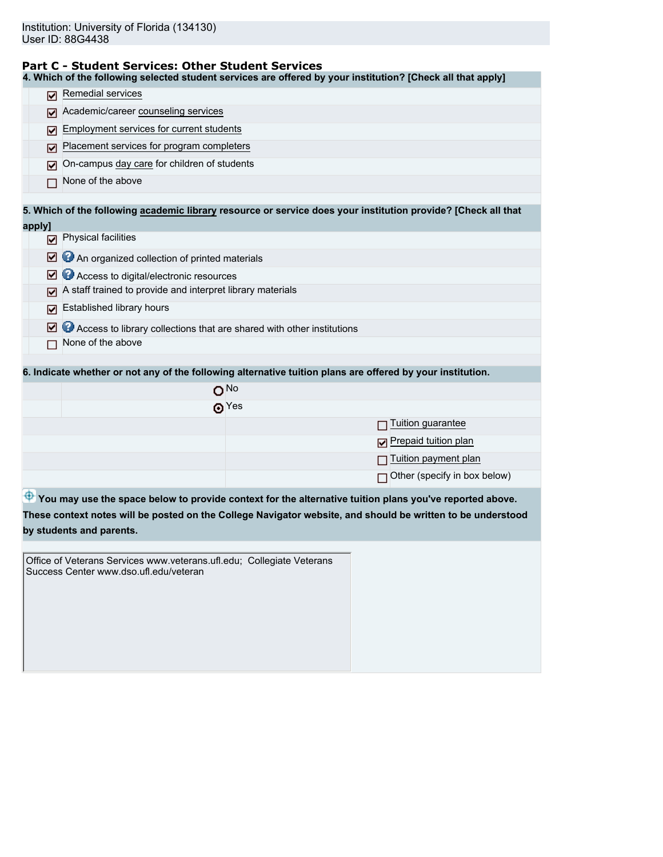# **Part C - Student Services: Other Student Services**

| 4. Which of the following selected student services are offered by your institution? [Check all that apply]                                                                                                                          |  |  |  |  |  |
|--------------------------------------------------------------------------------------------------------------------------------------------------------------------------------------------------------------------------------------|--|--|--|--|--|
| Remedial services                                                                                                                                                                                                                    |  |  |  |  |  |
| Academic/career counseling services                                                                                                                                                                                                  |  |  |  |  |  |
| Employment services for current students                                                                                                                                                                                             |  |  |  |  |  |
| Placement services for program completers                                                                                                                                                                                            |  |  |  |  |  |
| On-campus day care for children of students                                                                                                                                                                                          |  |  |  |  |  |
| None of the above                                                                                                                                                                                                                    |  |  |  |  |  |
| 5. Which of the following academic library resource or service does your institution provide? [Check all that                                                                                                                        |  |  |  |  |  |
|                                                                                                                                                                                                                                      |  |  |  |  |  |
| Physical facilities<br>☑                                                                                                                                                                                                             |  |  |  |  |  |
| An organized collection of printed materials<br>м                                                                                                                                                                                    |  |  |  |  |  |
| Access to digital/electronic resources                                                                                                                                                                                               |  |  |  |  |  |
| A staff trained to provide and interpret library materials                                                                                                                                                                           |  |  |  |  |  |
| Established library hours                                                                                                                                                                                                            |  |  |  |  |  |
| Access to library collections that are shared with other institutions<br>☑                                                                                                                                                           |  |  |  |  |  |
| None of the above                                                                                                                                                                                                                    |  |  |  |  |  |
| 6. Indicate whether or not any of the following alternative tuition plans are offered by your institution.                                                                                                                           |  |  |  |  |  |
| O <sub>No</sub>                                                                                                                                                                                                                      |  |  |  |  |  |
| $\odot$ Yes                                                                                                                                                                                                                          |  |  |  |  |  |
| Tuition guarantee                                                                                                                                                                                                                    |  |  |  |  |  |
| Prepaid tuition plan                                                                                                                                                                                                                 |  |  |  |  |  |
| Tuition payment plan                                                                                                                                                                                                                 |  |  |  |  |  |
| Other (specify in box below)                                                                                                                                                                                                         |  |  |  |  |  |
|                                                                                                                                                                                                                                      |  |  |  |  |  |
| <sup>43</sup> You may use the space below to provide context for the alternative tuition plans you've reported above.<br>These context notes will be posted on the College Navigator website, and should be written to be understood |  |  |  |  |  |
| by students and parents.                                                                                                                                                                                                             |  |  |  |  |  |
|                                                                                                                                                                                                                                      |  |  |  |  |  |
|                                                                                                                                                                                                                                      |  |  |  |  |  |
| 罓<br>罓<br>м<br>M<br>M                                                                                                                                                                                                                |  |  |  |  |  |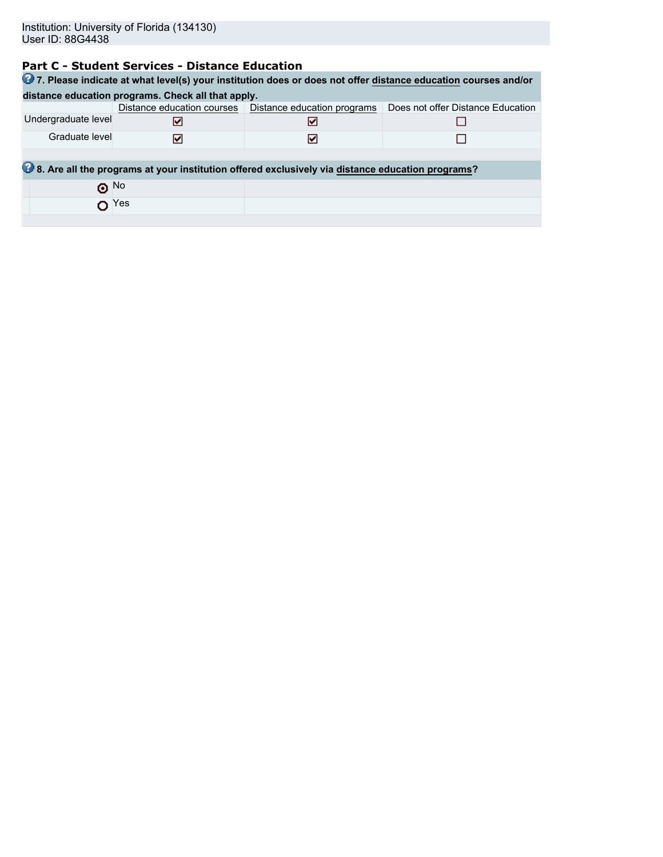# **Part C - Student Services - Distance Education**

| 27. Please indicate at what level(s) your institution does or does not offer distance education courses and/or |              |                                                                                                  |                                   |  |  |  |  |  |  |
|----------------------------------------------------------------------------------------------------------------|--------------|--------------------------------------------------------------------------------------------------|-----------------------------------|--|--|--|--|--|--|
| distance education programs. Check all that apply.                                                             |              |                                                                                                  |                                   |  |  |  |  |  |  |
|                                                                                                                |              | Distance education courses   Distance education programs                                         | Does not offer Distance Education |  |  |  |  |  |  |
| Undergraduate level                                                                                            | M            | M                                                                                                |                                   |  |  |  |  |  |  |
| Graduate level                                                                                                 | ☑            | м                                                                                                |                                   |  |  |  |  |  |  |
|                                                                                                                |              |                                                                                                  |                                   |  |  |  |  |  |  |
|                                                                                                                |              | 8. Are all the programs at your institution offered exclusively via distance education programs? |                                   |  |  |  |  |  |  |
| $\odot$ No                                                                                                     |              |                                                                                                  |                                   |  |  |  |  |  |  |
|                                                                                                                | $\Omega$ Yes |                                                                                                  |                                   |  |  |  |  |  |  |
|                                                                                                                |              |                                                                                                  |                                   |  |  |  |  |  |  |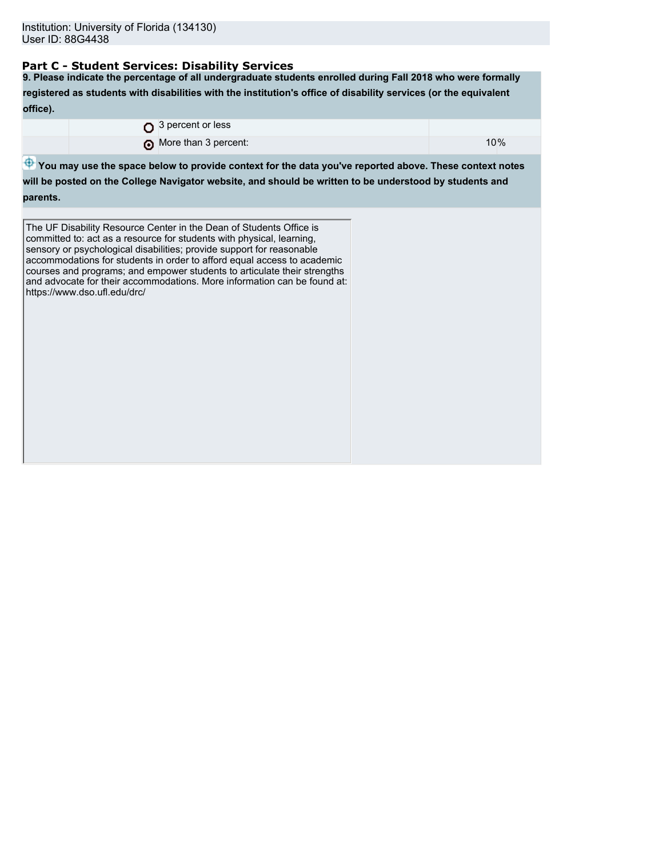# **Part C - Student Services: Disability Services**

**9. Please indicate the percentage of all undergraduate students enrolled during Fall 2018 who were formally registered as students with disabilities with the institution's office of disability services (or the equivalent office).**

|  | $\bigcirc$ 3 percent or less |     |  |
|--|------------------------------|-----|--|
|  | More than 3 percent:         | 10% |  |

 $\bigoplus$  **You may use the space below to provide context for the data you've reported above. These context notes** 

**will be posted on the College Navigator website, and should be written to be understood by students and parents.**

The UF Disability Resource Center in the Dean of Students Office is committed to: act as a resource for students with physical, learning, sensory or psychological disabilities; provide support for reasonable accommodations for students in order to afford equal access to academic courses and programs; and empower students to articulate their strengths and advocate for their accommodations. More information can be found at: https://www.dso.ufl.edu/drc/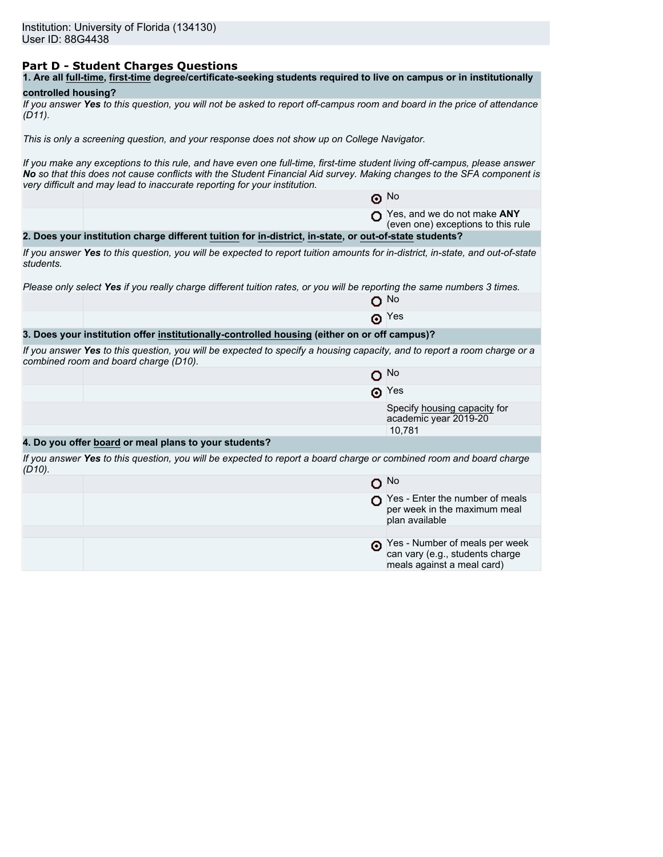# **Part D - Student Charges Questions**

| 1. Are all full-time, first-time degree/certificate-seeking students required to live on campus or in institutionally |
|-----------------------------------------------------------------------------------------------------------------------|
|-----------------------------------------------------------------------------------------------------------------------|

### **controlled housing?**

|           | If you answer Yes to this question, you will not be asked to report off-campus room and board in the price of attendance |  |  |
|-----------|--------------------------------------------------------------------------------------------------------------------------|--|--|
| $(D11)$ . |                                                                                                                          |  |  |

*This is only a screening question, and your response does not show up on College Navigator.*

*If you make any exceptions to this rule, and have even one full-time, first-time student living off-campus, please answer No so that this does not cause conflicts with the Student Financial Aid survey. Making changes to the SFA component is very difficult and may lead to inaccurate reporting for your institution.*

|           |                                                                                                                                                                   | $\odot$ No                                                                                      |
|-----------|-------------------------------------------------------------------------------------------------------------------------------------------------------------------|-------------------------------------------------------------------------------------------------|
|           |                                                                                                                                                                   | $\bigcap$ Yes, and we do not make ANY<br>(even one) exceptions to this rule                     |
|           | 2. Does your institution charge different tuition for in-district, in-state, or out-of-state students?                                                            |                                                                                                 |
| students. | If you answer Yes to this question, you will be expected to report tuition amounts for in-district, in-state, and out-of-state                                    |                                                                                                 |
|           | Please only select Yes if you really charge different tuition rates, or you will be reporting the same numbers 3 times.                                           |                                                                                                 |
|           |                                                                                                                                                                   | O No                                                                                            |
|           |                                                                                                                                                                   | $\odot$ Yes                                                                                     |
|           | 3. Does your institution offer institutionally-controlled housing (either on or off campus)?                                                                      |                                                                                                 |
|           | If you answer Yes to this question, you will be expected to specify a housing capacity, and to report a room charge or a<br>combined room and board charge (D10). |                                                                                                 |
|           |                                                                                                                                                                   | $O$ No                                                                                          |
|           |                                                                                                                                                                   | $\odot$ Yes                                                                                     |
|           |                                                                                                                                                                   | Specify housing capacity for<br>academic year 2019-20                                           |
|           |                                                                                                                                                                   | 10,781                                                                                          |
|           | 4. Do you offer board or meal plans to your students?                                                                                                             |                                                                                                 |
| $(D10)$ . | If you answer Yes to this question, you will be expected to report a board charge or combined room and board charge                                               |                                                                                                 |
|           |                                                                                                                                                                   | $O$ No                                                                                          |
|           |                                                                                                                                                                   | $\bigcap$ Yes - Enter the number of meals<br>per week in the maximum meal<br>plan available     |
|           |                                                                                                                                                                   |                                                                                                 |
|           |                                                                                                                                                                   | Pes - Number of meals per week<br>can vary (e.g., students charge<br>meals against a meal card) |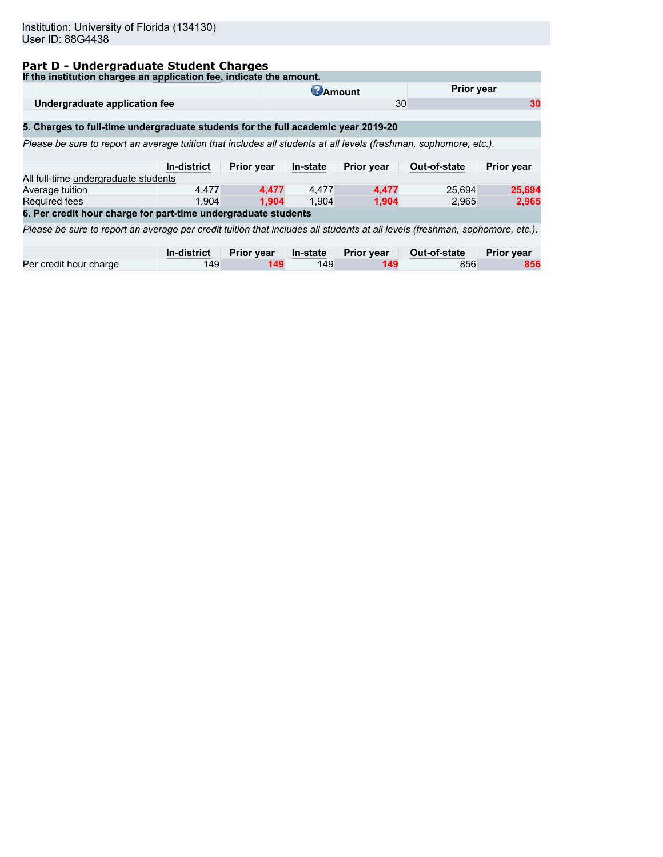# **Part D - Undergraduate Student Charges**

| If the institution charges an application fee, indicate the amount.                                                          |             |                   |                 |                   |              |                   |  |  |  |
|------------------------------------------------------------------------------------------------------------------------------|-------------|-------------------|-----------------|-------------------|--------------|-------------------|--|--|--|
|                                                                                                                              |             |                   | <b>C</b> Amount |                   | Prior year   |                   |  |  |  |
| 30<br>Undergraduate application fee<br>30                                                                                    |             |                   |                 |                   |              |                   |  |  |  |
|                                                                                                                              |             |                   |                 |                   |              |                   |  |  |  |
| 5. Charges to full-time undergraduate students for the full academic year 2019-20                                            |             |                   |                 |                   |              |                   |  |  |  |
| Please be sure to report an average tuition that includes all students at all levels (freshman, sophomore, etc.).            |             |                   |                 |                   |              |                   |  |  |  |
|                                                                                                                              |             |                   |                 |                   |              |                   |  |  |  |
|                                                                                                                              | In-district | <b>Prior year</b> | In-state        | Prior year        | Out-of-state | Prior year        |  |  |  |
| All full-time undergraduate students                                                                                         |             |                   |                 |                   |              |                   |  |  |  |
| Average tuition                                                                                                              | 4.477       | 4.477             | 4,477           | 4,477             | 25,694       | 25,694            |  |  |  |
| <b>Required fees</b>                                                                                                         | 1.904       | 1.904             | 1.904           | 1.904             | 2.965        | 2,965             |  |  |  |
| 6. Per credit hour charge for part-time undergraduate students                                                               |             |                   |                 |                   |              |                   |  |  |  |
| Please be sure to report an average per credit tuition that includes all students at all levels (freshman, sophomore, etc.). |             |                   |                 |                   |              |                   |  |  |  |
|                                                                                                                              |             |                   |                 |                   |              |                   |  |  |  |
|                                                                                                                              | In-district | <b>Prior year</b> | In-state        | <b>Prior year</b> | Out-of-state | <b>Prior year</b> |  |  |  |
| Per credit hour charge                                                                                                       | 149         | 149               | 149             | 149               | 856          | 856               |  |  |  |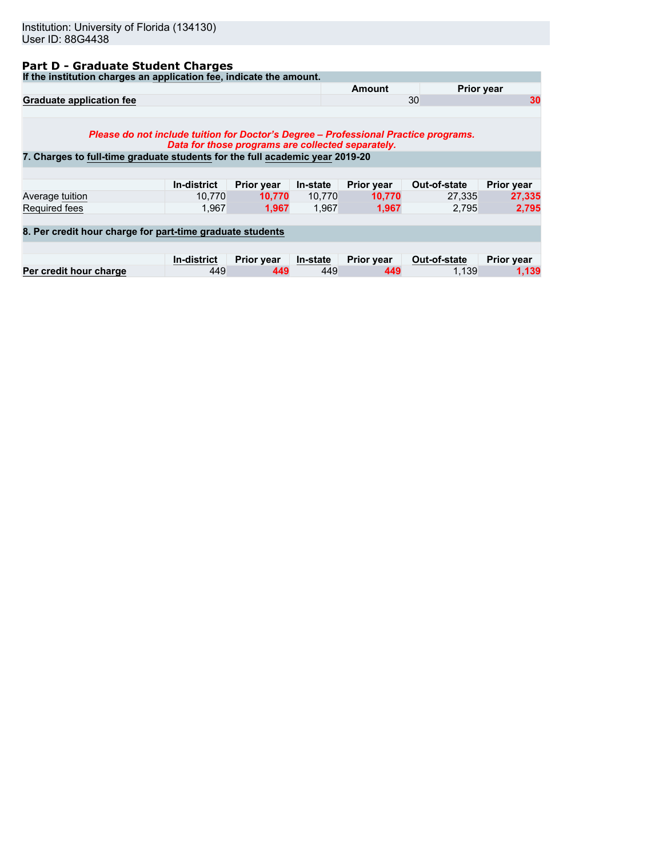# **Part D - Graduate Student Charges**

**If the institution charges an application fee, indicate the amount.**

| ii the modulum charges an application lee, indicate the amount.                                                                                                                                                          |                    |                   |          |                   |              |                   |  |  |
|--------------------------------------------------------------------------------------------------------------------------------------------------------------------------------------------------------------------------|--------------------|-------------------|----------|-------------------|--------------|-------------------|--|--|
|                                                                                                                                                                                                                          |                    |                   |          | Amount            |              | <b>Prior year</b> |  |  |
| <b>Graduate application fee</b>                                                                                                                                                                                          |                    |                   |          | 30                | 30           |                   |  |  |
| Please do not include tuition for Doctor's Degree – Professional Practice programs.<br>Data for those programs are collected separately.<br>7. Charges to full-time graduate students for the full academic year 2019-20 |                    |                   |          |                   |              |                   |  |  |
|                                                                                                                                                                                                                          |                    |                   |          |                   |              |                   |  |  |
|                                                                                                                                                                                                                          | In-district        | <b>Prior year</b> | In-state | <b>Prior year</b> | Out-of-state | <b>Prior year</b> |  |  |
| Average tuition                                                                                                                                                                                                          | 10.770             | 10.770            | 10.770   | 10.770            | 27.335       | 27,335            |  |  |
| <b>Required fees</b>                                                                                                                                                                                                     | 1.967              | 1.967             | 1.967    | 1,967             | 2.795        | 2.795             |  |  |
| 8. Per credit hour charge for part-time graduate students                                                                                                                                                                |                    |                   |          |                   |              |                   |  |  |
|                                                                                                                                                                                                                          | <b>In-district</b> | <b>Prior year</b> | In-state | Prior year        | Out-of-state | Prior year        |  |  |
| Per credit hour charge                                                                                                                                                                                                   | 449                | 449               | 449      | 449               | 1.139        | 1,139             |  |  |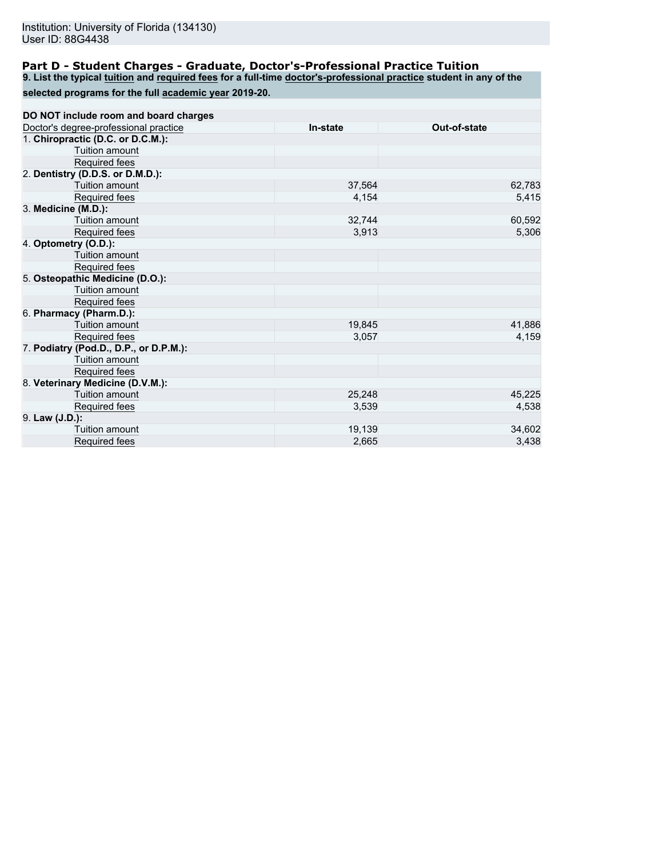## **Part D - Student Charges - Graduate, Doctor's-Professional Practice Tuition**

**9. List the typical tuition and required fees for a full-time doctor's-professional practice student in any of the**

|  | selected programs for the full academic year 2019-20. |  |  |
|--|-------------------------------------------------------|--|--|
|  |                                                       |  |  |

| DO NOT include room and board charges  |          |              |
|----------------------------------------|----------|--------------|
| Doctor's degree-professional practice  | In-state | Out-of-state |
| 1. Chiropractic (D.C. or D.C.M.):      |          |              |
| Tuition amount                         |          |              |
| Required fees                          |          |              |
| 2. Dentistry (D.D.S. or D.M.D.):       |          |              |
| Tuition amount                         | 37,564   | 62,783       |
| Required fees                          | 4,154    | 5,415        |
| 3. Medicine (M.D.):                    |          |              |
| Tuition amount                         | 32,744   | 60,592       |
| Required fees                          | 3,913    | 5,306        |
| 4. Optometry (O.D.):                   |          |              |
| Tuition amount                         |          |              |
| Required fees                          |          |              |
| 5. Osteopathic Medicine (D.O.):        |          |              |
| Tuition amount                         |          |              |
| Required fees                          |          |              |
| 6. Pharmacy (Pharm.D.):                |          |              |
| Tuition amount                         | 19,845   | 41,886       |
| Required fees                          | 3,057    | 4,159        |
| 7. Podiatry (Pod.D., D.P., or D.P.M.): |          |              |
| Tuition amount                         |          |              |
| Required fees                          |          |              |
| 8. Veterinary Medicine (D.V.M.):       |          |              |
| Tuition amount                         | 25,248   | 45,225       |
| Required fees                          | 3,539    | 4,538        |
| 9. Law (J.D.):                         |          |              |
| Tuition amount                         | 19,139   | 34,602       |
| Required fees                          | 2,665    | 3,438        |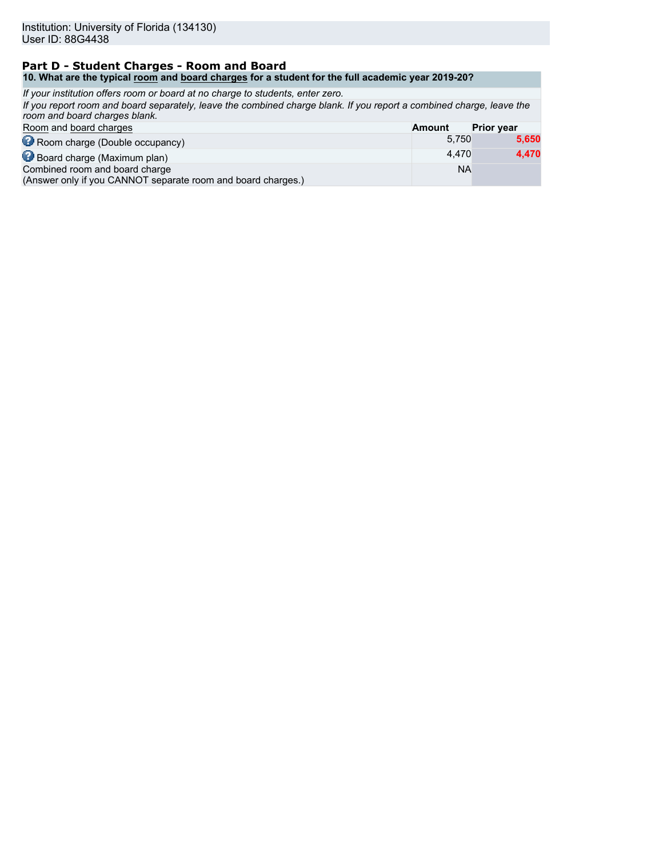#### **Part D - Student Charges - Room and Board 10. What are the typical room and board charges for a student for the full academic year 2019-20?**

| If your institution offers room or board at no charge to students, enter zero.                                                                        |               |                   |
|-------------------------------------------------------------------------------------------------------------------------------------------------------|---------------|-------------------|
| If you report room and board separately, leave the combined charge blank. If you report a combined charge, leave the<br>room and board charges blank. |               |                   |
| Room and board charges                                                                                                                                | <b>Amount</b> | <b>Prior year</b> |
| Room charge (Double occupancy)                                                                                                                        | 5.750         | 5,650             |
| Board charge (Maximum plan)                                                                                                                           | 4.470         | 4,470             |
| Combined room and board charge<br>(Answer only if you CANNOT separate room and board charges.)                                                        | <b>NA</b>     |                   |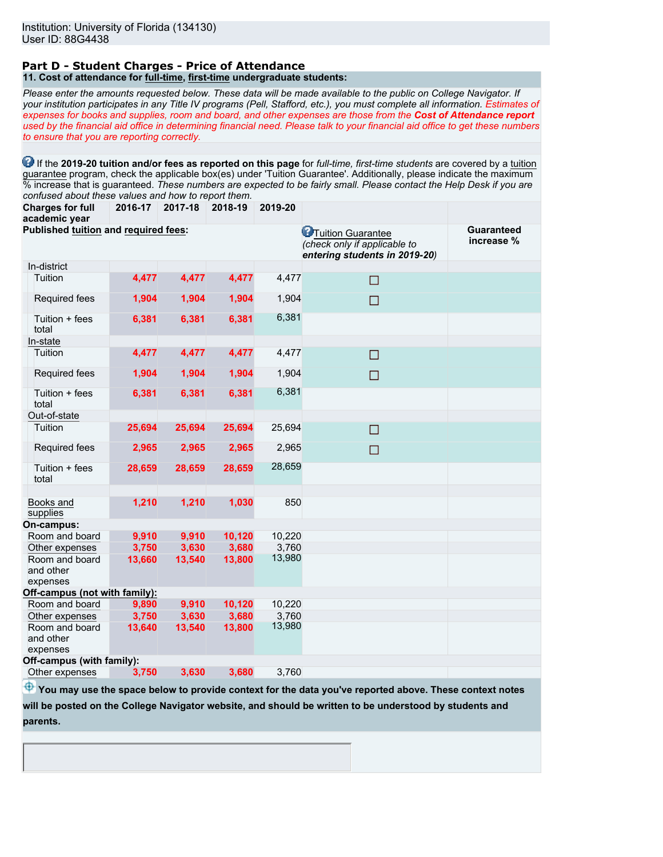#### **Part D - Student Charges - Price of Attendance 11. Cost of attendance for full-time, first-time undergraduate students:**

*Please enter the amounts requested below. These data will be made available to the public on College Navigator. If your institution participates in any Title IV programs (Pell, Stafford, etc.), you must complete all information. Estimates of expenses for books and supplies, room and board, and other expenses are those from the Cost of Attendance report used by the financial aid office in determining financial need. Please talk to your financial aid office to get these numbers to ensure that you are reporting correctly.*

**1** If the 2019-20 tuition and/or fees as reported on this page for *full-time, first-time students* are covered by a tuition guarantee program, check the applicable box(es) under 'Tuition Guarantee'. Additionally, please indicate the maximum % increase that is guaranteed. *These numbers are expected to be fairly small. Please contact the Help Desk if you are confused about these values and how to report them.*

**Charges for full 2016-17 2017-18 2018-19 2019-20**

| academic year                           |        |        |        |        |                                                                                             |                                 |
|-----------------------------------------|--------|--------|--------|--------|---------------------------------------------------------------------------------------------|---------------------------------|
| Published tuition and required fees:    |        |        |        |        | <b>C</b> Tuition Guarantee<br>(check only if applicable to<br>entering students in 2019-20) | <b>Guaranteed</b><br>increase % |
| In-district                             |        |        |        |        |                                                                                             |                                 |
| Tuition                                 | 4,477  | 4,477  | 4,477  | 4,477  | □                                                                                           |                                 |
| Required fees                           | 1,904  | 1,904  | 1,904  | 1,904  | $\Box$                                                                                      |                                 |
| Tuition + fees<br>total                 | 6,381  | 6,381  | 6,381  | 6,381  |                                                                                             |                                 |
| In-state                                |        |        |        |        |                                                                                             |                                 |
| Tuition                                 | 4,477  | 4,477  | 4,477  | 4,477  | $\Box$                                                                                      |                                 |
| Required fees                           | 1,904  | 1,904  | 1,904  | 1,904  | $\Box$                                                                                      |                                 |
| Tuition + fees<br>total                 | 6,381  | 6,381  | 6,381  | 6,381  |                                                                                             |                                 |
| Out-of-state                            |        |        |        |        |                                                                                             |                                 |
| Tuition                                 | 25,694 | 25,694 | 25,694 | 25,694 | $\Box$                                                                                      |                                 |
| Required fees                           | 2,965  | 2,965  | 2,965  | 2,965  | $\Box$                                                                                      |                                 |
| Tuition + fees<br>total                 | 28,659 | 28,659 | 28,659 | 28,659 |                                                                                             |                                 |
| Books and<br>supplies                   | 1,210  | 1,210  | 1,030  | 850    |                                                                                             |                                 |
| On-campus:                              |        |        |        |        |                                                                                             |                                 |
| Room and board                          | 9,910  | 9,910  | 10,120 | 10,220 |                                                                                             |                                 |
| Other expenses                          | 3,750  | 3,630  | 3,680  | 3,760  |                                                                                             |                                 |
| Room and board<br>and other<br>expenses | 13,660 | 13,540 | 13,800 | 13,980 |                                                                                             |                                 |
| Off-campus (not with family):           |        |        |        |        |                                                                                             |                                 |
| Room and board                          | 9,890  | 9,910  | 10,120 | 10,220 |                                                                                             |                                 |
| Other expenses                          | 3,750  | 3,630  | 3,680  | 3,760  |                                                                                             |                                 |
| Room and board<br>and other<br>expenses | 13,640 | 13,540 | 13,800 | 13,980 |                                                                                             |                                 |
| Off-campus (with family):               |        |        |        |        |                                                                                             |                                 |
| Other expenses                          | 3,750  | 3,630  | 3,680  | 3.760  |                                                                                             |                                 |

 $\bigoplus$  **You may use the space below to provide context for the data you've reported above. These context notes** 

**will be posted on the College Navigator website, and should be written to be understood by students and**

**parents.**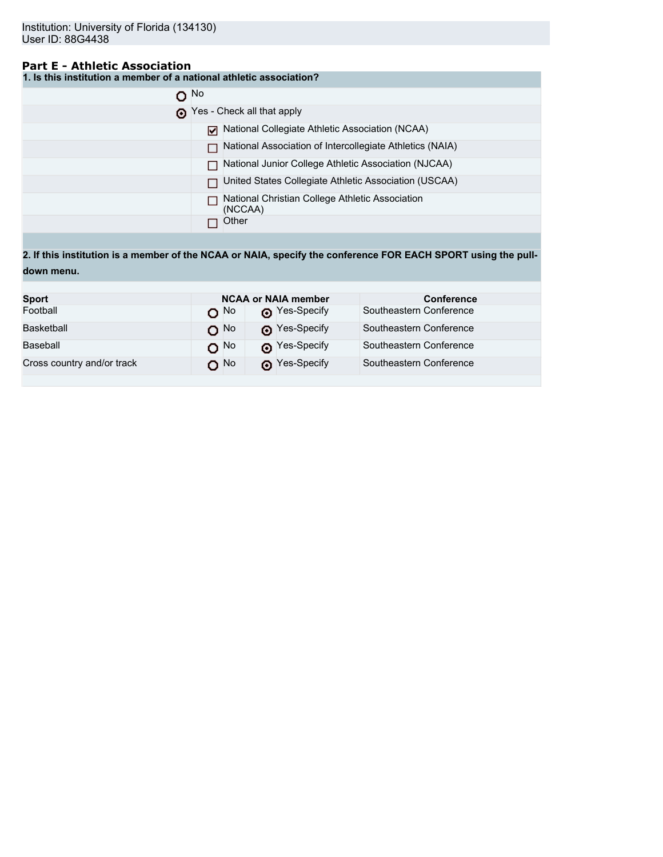# **Part E - Athletic Association**

**1. Is this institution a member of a national athletic association?**

| O No |                                                            |
|------|------------------------------------------------------------|
|      | Yes - Check all that apply                                 |
|      | National Collegiate Athletic Association (NCAA)            |
|      | National Association of Intercollegiate Athletics (NAIA)   |
|      | National Junior College Athletic Association (NJCAA)       |
|      | United States Collegiate Athletic Association (USCAA)      |
|      | National Christian College Athletic Association<br>(NCCAA) |
|      | Other                                                      |

**2. If this institution is a member of the NCAA or NAIA, specify the conference FOR EACH SPORT using the pulldown menu.**

| <b>Sport</b>               |                   | <b>NCAA or NAIA member</b> | <b>Conference</b>       |
|----------------------------|-------------------|----------------------------|-------------------------|
| Football                   | റ <sup>No</sup>   | Nes-Specify                | Southeastern Conference |
| Basketball                 | $O$ <sup>No</sup> | Nes-Specify                | Southeastern Conference |
| Baseball                   | $O$ <sup>No</sup> | Nes-Specify                | Southeastern Conference |
| Cross country and/or track | O No              | Nes-Specify                | Southeastern Conference |
|                            |                   |                            |                         |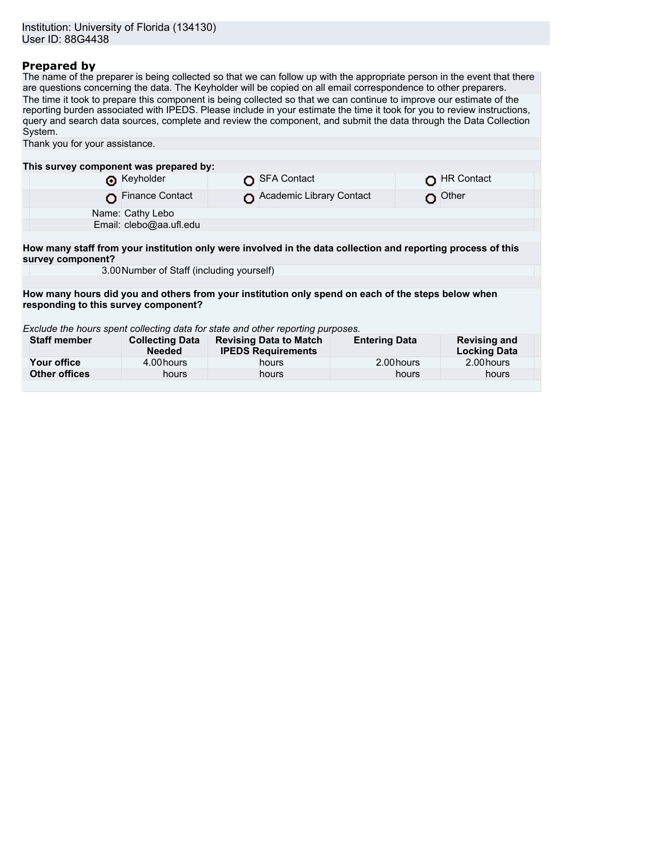## **Prepared by**

The name of the preparer is being collected so that we can follow up with the appropriate person in the event that there are questions concerning the data. The Keyholder will be copied on all email correspondence to other preparers. The time it took to prepare this component is being collected so that we can continue to improve our estimate of the reporting burden associated with IPEDS. Please include in your estimate the time it took for you to review instructions, query and search data sources, complete and review the component, and submit the data through the Data Collection System.

| Thank you for your assistance.                                                                         |                        |                                        |                                                                                                                               |                                                                                                                                                                                                                                                                        |  |  |  |
|--------------------------------------------------------------------------------------------------------|------------------------|----------------------------------------|-------------------------------------------------------------------------------------------------------------------------------|------------------------------------------------------------------------------------------------------------------------------------------------------------------------------------------------------------------------------------------------------------------------|--|--|--|
|                                                                                                        |                        |                                        |                                                                                                                               |                                                                                                                                                                                                                                                                        |  |  |  |
|                                                                                                        |                        |                                        |                                                                                                                               |                                                                                                                                                                                                                                                                        |  |  |  |
| Reyholder                                                                                              |                        |                                        |                                                                                                                               | <b>HR Contact</b>                                                                                                                                                                                                                                                      |  |  |  |
| <b>Finance Contact</b>                                                                                 |                        |                                        |                                                                                                                               | Other                                                                                                                                                                                                                                                                  |  |  |  |
| Name: Cathy Lebo                                                                                       |                        |                                        |                                                                                                                               |                                                                                                                                                                                                                                                                        |  |  |  |
| Email: clebo@aa.ufl.edu                                                                                |                        |                                        |                                                                                                                               |                                                                                                                                                                                                                                                                        |  |  |  |
|                                                                                                        |                        |                                        |                                                                                                                               |                                                                                                                                                                                                                                                                        |  |  |  |
|                                                                                                        |                        |                                        |                                                                                                                               |                                                                                                                                                                                                                                                                        |  |  |  |
|                                                                                                        |                        |                                        |                                                                                                                               |                                                                                                                                                                                                                                                                        |  |  |  |
|                                                                                                        |                        |                                        |                                                                                                                               |                                                                                                                                                                                                                                                                        |  |  |  |
|                                                                                                        |                        |                                        |                                                                                                                               |                                                                                                                                                                                                                                                                        |  |  |  |
| responding to this survey component?                                                                   |                        |                                        |                                                                                                                               |                                                                                                                                                                                                                                                                        |  |  |  |
|                                                                                                        |                        |                                        |                                                                                                                               |                                                                                                                                                                                                                                                                        |  |  |  |
| Exclude the hours spent collecting data for state and other reporting purposes.<br><b>Staff member</b> |                        |                                        |                                                                                                                               |                                                                                                                                                                                                                                                                        |  |  |  |
| <b>Needed</b>                                                                                          |                        |                                        |                                                                                                                               | <b>Revising and</b><br><b>Locking Data</b>                                                                                                                                                                                                                             |  |  |  |
| 4.00 hours                                                                                             |                        | hours                                  | 2.00 hours                                                                                                                    | 2.00 hours                                                                                                                                                                                                                                                             |  |  |  |
| hours                                                                                                  |                        | hours                                  | hours                                                                                                                         | hours                                                                                                                                                                                                                                                                  |  |  |  |
|                                                                                                        | <b>Collecting Data</b> | This survey component was prepared by: | <b>SFA Contact</b><br>3.00 Number of Staff (including yourself)<br><b>Revising Data to Match</b><br><b>IPEDS Requirements</b> | Academic Library Contact<br>How many staff from your institution only were involved in the data collection and reporting process of this<br>How many hours did you and others from your institution only spend on each of the steps below when<br><b>Entering Data</b> |  |  |  |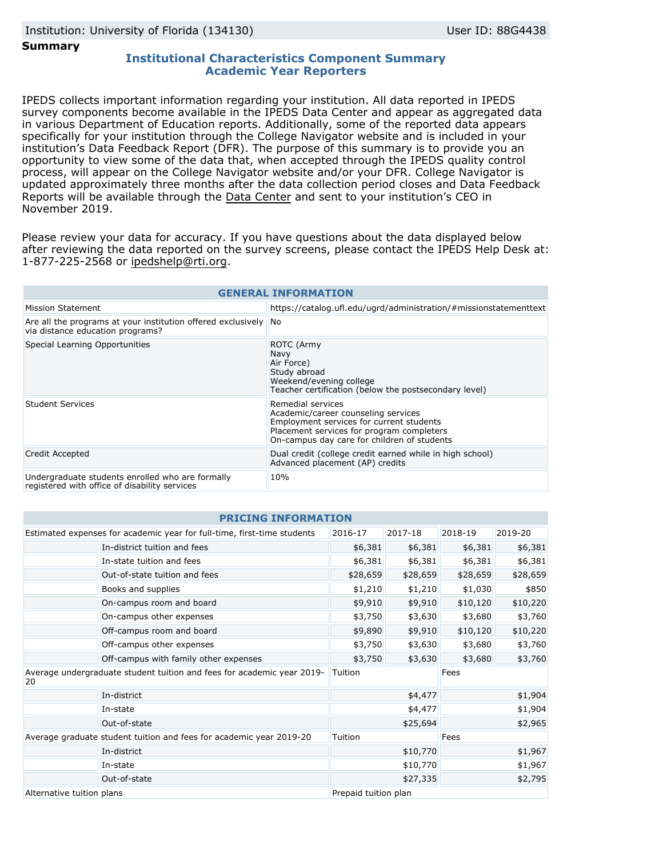#### **Summary**

## **Institutional Characteristics Component Summary Academic Year Reporters**

IPEDS collects important information regarding your institution. All data reported in IPEDS survey components become available in the IPEDS Data Center and appear as aggregated data in various Department of Education reports. Additionally, some of the reported data appears specifically for your institution through the College Navigator website and is included in your institution's Data Feedback Report (DFR). The purpose of this summary is to provide you an opportunity to view some of the data that, when accepted through the IPEDS quality control process, will appear on the College Navigator website and/or your DFR. College Navigator is updated approximately three months after the data collection period closes and Data Feedback Reports will be available through the [Data Center](https://nces.ed.gov/ipeds/use-the-data) and sent to your institution's CEO in November 2019.

Please review your data for accuracy. If you have questions about the data displayed below after reviewing the data reported on the survey screens, please contact the IPEDS Help Desk at: 1-877-225-2568 or ipedshelp@rti.org.

| <b>GENERAL INFORMATION</b>                                                                          |                                                                                                                                                                                                  |  |  |  |  |
|-----------------------------------------------------------------------------------------------------|--------------------------------------------------------------------------------------------------------------------------------------------------------------------------------------------------|--|--|--|--|
| Mission Statement                                                                                   | https://catalog.ufl.edu/ugrd/administration/#missionstatementtext                                                                                                                                |  |  |  |  |
| Are all the programs at your institution offered exclusively No<br>via distance education programs? |                                                                                                                                                                                                  |  |  |  |  |
| Special Learning Opportunities                                                                      | ROTC (Army<br>Navy<br>Air Force)<br>Study abroad<br>Weekend/evening college<br>Teacher certification (below the postsecondary level)                                                             |  |  |  |  |
| <b>Student Services</b>                                                                             | Remedial services<br>Academic/career counseling services<br>Employment services for current students<br>Placement services for program completers<br>On-campus day care for children of students |  |  |  |  |
| Credit Accepted                                                                                     | Dual credit (college credit earned while in high school)<br>Advanced placement (AP) credits                                                                                                      |  |  |  |  |
| Undergraduate students enrolled who are formally<br>registered with office of disability services   | 10%                                                                                                                                                                                              |  |  |  |  |

| <b>PRICING INFORMATION</b>                                                         |                                       |                      |          |          |          |  |  |
|------------------------------------------------------------------------------------|---------------------------------------|----------------------|----------|----------|----------|--|--|
| Estimated expenses for academic year for full-time, first-time students<br>2016-17 |                                       |                      | 2017-18  | 2018-19  | 2019-20  |  |  |
|                                                                                    | In-district tuition and fees          | \$6,381              | \$6,381  | \$6,381  | \$6,381  |  |  |
|                                                                                    | In-state tuition and fees             | \$6,381              | \$6,381  | \$6,381  | \$6,381  |  |  |
|                                                                                    | Out-of-state tuition and fees         | \$28,659             | \$28,659 | \$28,659 | \$28,659 |  |  |
|                                                                                    | Books and supplies                    | \$1,210              | \$1,210  | \$1,030  | \$850    |  |  |
|                                                                                    | On-campus room and board              | \$9,910              | \$9,910  | \$10,120 | \$10,220 |  |  |
|                                                                                    | On-campus other expenses              | \$3,750              | \$3,630  | \$3,680  | \$3,760  |  |  |
|                                                                                    | Off-campus room and board             | \$9,890              | \$9,910  | \$10,120 | \$10,220 |  |  |
|                                                                                    | Off-campus other expenses             | \$3,750              | \$3,630  | \$3,680  | \$3,760  |  |  |
|                                                                                    | Off-campus with family other expenses | \$3,750              | \$3,630  | \$3,680  | \$3,760  |  |  |
| Average undergraduate student tuition and fees for academic year 2019-<br>20       |                                       | Tuition              |          | Fees     |          |  |  |
|                                                                                    | In-district                           |                      | \$4,477  |          | \$1,904  |  |  |
|                                                                                    | In-state                              | \$4,477              |          | \$1,904  |          |  |  |
|                                                                                    | \$25,694                              |                      | \$2,965  |          |          |  |  |
| Average graduate student tuition and fees for academic year 2019-20                |                                       | Tuition              |          | Fees     |          |  |  |
|                                                                                    | In-district                           |                      | \$10,770 |          | \$1,967  |  |  |
|                                                                                    | In-state                              |                      | \$10,770 |          | \$1,967  |  |  |
| Out-of-state                                                                       |                                       |                      | \$27,335 |          | \$2,795  |  |  |
| Alternative tuition plans                                                          |                                       | Prepaid tuition plan |          |          |          |  |  |